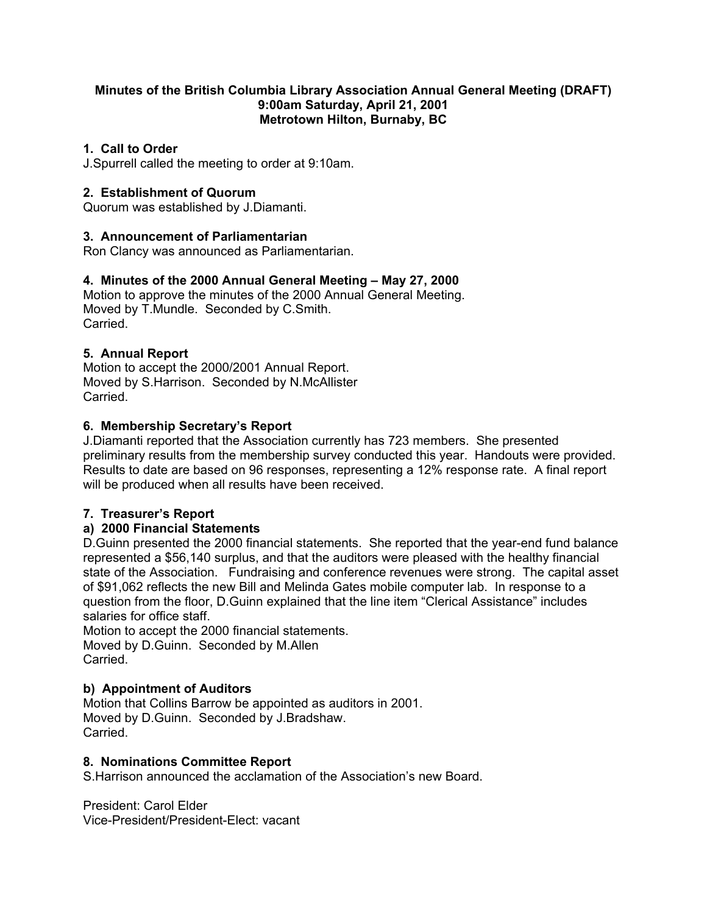#### **Minutes of the British Columbia Library Association Annual General Meeting (DRAFT) 9:00am Saturday, April 21, 2001 Metrotown Hilton, Burnaby, BC**

## **1. Call to Order**

J.Spurrell called the meeting to order at 9:10am.

# **2. Establishment of Quorum**

Quorum was established by J.Diamanti.

## **3. Announcement of Parliamentarian**

Ron Clancy was announced as Parliamentarian.

## **4. Minutes of the 2000 Annual General Meeting – May 27, 2000**

Motion to approve the minutes of the 2000 Annual General Meeting. Moved by T.Mundle. Seconded by C.Smith. **Carried** 

## **5. Annual Report**

Motion to accept the 2000/2001 Annual Report. Moved by S.Harrison. Seconded by N.McAllister Carried.

## **6. Membership Secretary's Report**

J.Diamanti reported that the Association currently has 723 members. She presented preliminary results from the membership survey conducted this year. Handouts were provided. Results to date are based on 96 responses, representing a 12% response rate. A final report will be produced when all results have been received.

## **7. Treasurer's Report**

## **a) 2000 Financial Statements**

D.Guinn presented the 2000 financial statements. She reported that the year-end fund balance represented a \$56,140 surplus, and that the auditors were pleased with the healthy financial state of the Association. Fundraising and conference revenues were strong. The capital asset of \$91,062 reflects the new Bill and Melinda Gates mobile computer lab. In response to a question from the floor, D.Guinn explained that the line item "Clerical Assistance" includes salaries for office staff.

Motion to accept the 2000 financial statements. Moved by D.Guinn. Seconded by M.Allen **Carried** 

## **b) Appointment of Auditors**

Motion that Collins Barrow be appointed as auditors in 2001. Moved by D.Guinn. Seconded by J.Bradshaw. Carried.

#### **8. Nominations Committee Report**

S.Harrison announced the acclamation of the Association's new Board.

President: Carol Elder Vice-President/President-Elect: vacant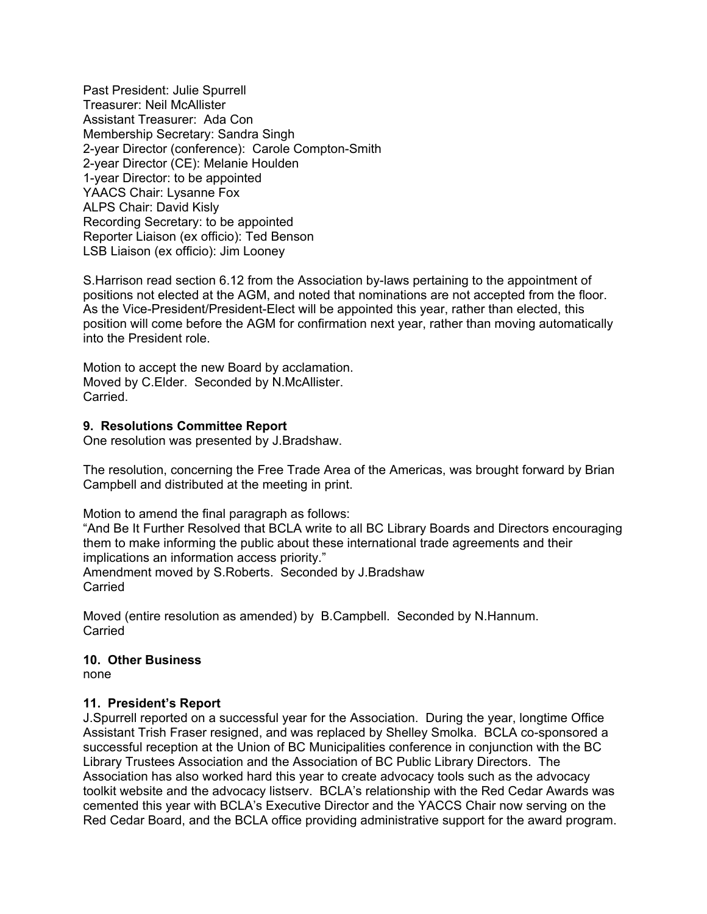Past President: Julie Spurrell Treasurer: Neil McAllister Assistant Treasurer: Ada Con Membership Secretary: Sandra Singh 2-year Director (conference): Carole Compton-Smith 2-year Director (CE): Melanie Houlden 1-year Director: to be appointed YAACS Chair: Lysanne Fox ALPS Chair: David Kisly Recording Secretary: to be appointed Reporter Liaison (ex officio): Ted Benson LSB Liaison (ex officio): Jim Looney

S.Harrison read section 6.12 from the Association by-laws pertaining to the appointment of positions not elected at the AGM, and noted that nominations are not accepted from the floor. As the Vice-President/President-Elect will be appointed this year, rather than elected, this position will come before the AGM for confirmation next year, rather than moving automatically into the President role.

Motion to accept the new Board by acclamation. Moved by C.Elder. Seconded by N.McAllister. Carried.

#### **9. Resolutions Committee Report**

One resolution was presented by J.Bradshaw.

The resolution, concerning the Free Trade Area of the Americas, was brought forward by Brian Campbell and distributed at the meeting in print.

Motion to amend the final paragraph as follows:

"And Be It Further Resolved that BCLA write to all BC Library Boards and Directors encouraging them to make informing the public about these international trade agreements and their implications an information access priority." Amendment moved by S.Roberts. Seconded by J.Bradshaw **Carried** 

Moved (entire resolution as amended) by B.Campbell. Seconded by N.Hannum. Carried

#### **10. Other Business**

none

## **11. President's Report**

J.Spurrell reported on a successful year for the Association. During the year, longtime Office Assistant Trish Fraser resigned, and was replaced by Shelley Smolka. BCLA co-sponsored a successful reception at the Union of BC Municipalities conference in conjunction with the BC Library Trustees Association and the Association of BC Public Library Directors. The Association has also worked hard this year to create advocacy tools such as the advocacy toolkit website and the advocacy listserv. BCLA's relationship with the Red Cedar Awards was cemented this year with BCLA's Executive Director and the YACCS Chair now serving on the Red Cedar Board, and the BCLA office providing administrative support for the award program.